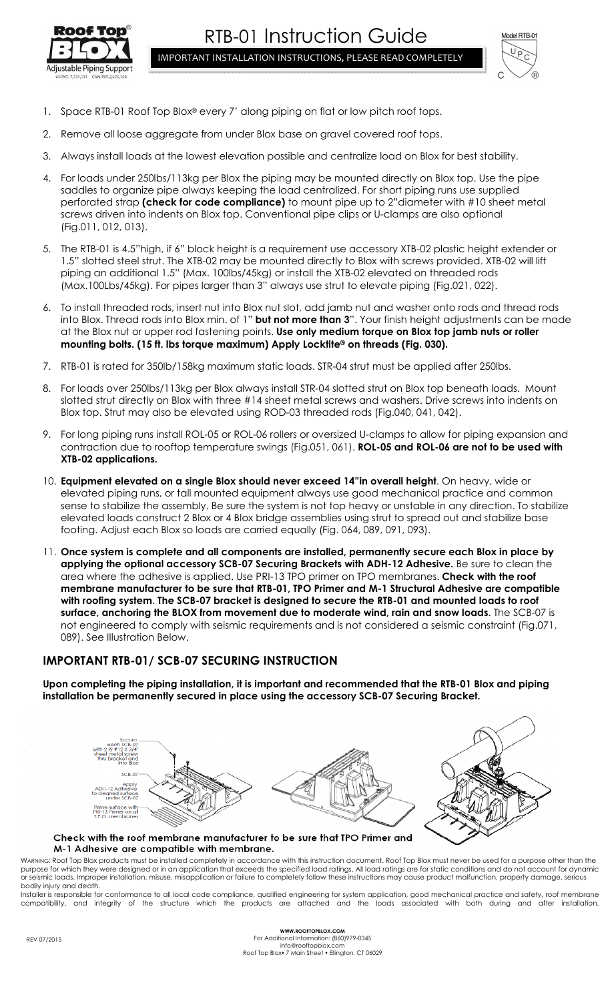



- 1. Space RTB-01 Roof Top Blox® every 7' along piping on flat or low pitch roof tops.
- 2. Remove all loose aggregate from under Blox base on gravel covered roof tops.
- 3. Always install loads at the lowest elevation possible and centralize load on Blox for best stability.
- 4. For loads under 250lbs/113kg per Blox the piping may be mounted directly on Blox top. Use the pipe saddles to organize pipe always keeping the load centralized. For short piping runs use supplied perforated strap **(check for code compliance)** to mount pipe up to 2"diameter with #10 sheet metal screws driven into indents on Blox top. Conventional pipe clips or U-clamps are also optional (Fig.011, 012, 013).
- 5. The RTB-01 is 4.5"high, if 6" block height is a requirement use accessory XTB-02 plastic height extender or 1.5" slotted steel strut. The XTB-02 may be mounted directly to Blox with screws provided. XTB-02 will lift piping an additional 1.5" (Max. 100lbs/45kg) or install the XTB-02 elevated on threaded rods (Max.100Lbs/45kg). For pipes larger than 3" always use strut to elevate piping (Fig.021, 022).
- 6. To install threaded rods, insert nut into Blox nut slot, add jamb nut and washer onto rods and thread rods into Blox. Thread rods into Blox min. of 1" **but not more than 3**". Your finish height adjustments can be made at the Blox nut or upper rod fastening points. **Use only medium torque on Blox top jamb nuts or roller mounting bolts. (15 ft. lbs torque maximum) Apply Locktite® on threads (Fig. 030).**
- 7. RTB-01 is rated for 350lb/158kg maximum static loads. STR-04 strut must be applied after 250lbs.
- 8. For loads over 250lbs/113kg per Blox always install STR-04 slotted strut on Blox top beneath loads. Mount slotted strut directly on Blox with three #14 sheet metal screws and washers. Drive screws into indents on Blox top. Strut may also be elevated using ROD-03 threaded rods (Fig.040, 041, 042).
- 9. For long piping runs install ROL-05 or ROL-06 rollers or oversized U-clamps to allow for piping expansion and contraction due to rooftop temperature swings (Fig.051, 061). **ROL-05 and ROL-06 are not to be used with XTB-02 applications.**
- 10. **Equipment elevated on a single Blox should never exceed 14"in overall height**. On heavy, wide or elevated piping runs, or tall mounted equipment always use good mechanical practice and common sense to stabilize the assembly. Be sure the system is not top heavy or unstable in any direction. To stabilize elevated loads construct 2 Blox or 4 Blox bridge assemblies using strut to spread out and stabilize base footing. Adjust each Blox so loads are carried equally (Fig. 064, 089, 091, 093).
- 11. **Once system is complete and all components are installed, permanently secure each Blox in place by applying the optional accessory SCB-07 Securing Brackets with ADH-12 Adhesive.** Be sure to clean the area where the adhesive is applied. Use PRI-13 TPO primer on TPO membranes. **Check with the roof membrane manufacturer to be sure that RTB-01, TPO Primer and M-1 Structural Adhesive are compatible with roofing system**. **The SCB-07 bracket is designed to secure the RTB-01 and mounted loads to roof surface, anchoring the BLOX from movement due to moderate wind, rain and snow loads**. The SCB-07 is not engineered to comply with seismic requirements and is not considered a seismic constraint (Fig.071, 089). See Illustration Below.

## **IMPORTANT RTB-01/ SCB-07 SECURING INSTRUCTION**

**Upon completing the piping installation, it is important and recommended that the RTB-01 Blox and piping installation be permanently secured in place using the accessory SCB-07 Securing Bracket.** 



## Check with the roof membrane manufacturer to be sure that TPO Primer and M-1 Adhesive are compatible with membrane.

WARNING: Roof Top Blox products must be installed completely in accordance with this instruction document. Roof Top Blox must never be used for a purpose other than the purpose for which they were designed or in an application that exceeds the specified load ratings. All load ratings are for static conditions and do not account for dynamic or seismic loads. Improper installation, misuse, misapplication or failure to completely follow these instructions may cause product malfunction, property damage, serious bodily injury and death.

Installer is responsible for conformance to all local code compliance, qualified engineering for system application, good mechanical practice and safety, roof membrane compatibility, and integrity of the structure which the products are attached and the loads associated with both during and after installation.